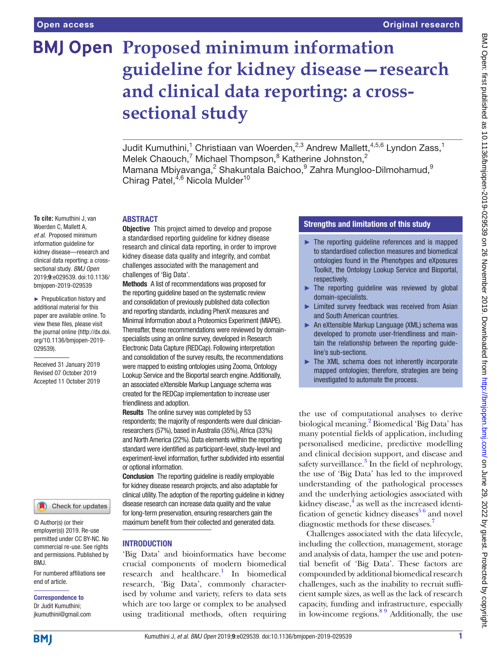**To cite:** Kumuthini J, van Woerden C, Mallett A, *et al*. Proposed minimum information guideline for kidney disease—research and clinical data reporting: a crosssectional study. *BMJ Open* 2019;9:e029539. doi:10.1136/ bmjopen-2019-029539 ► Prepublication history and additional material for this paper are available online. To view these files, please visit the journal online (http://dx.doi. org/10.1136/bmjopen-2019-

# **BMJ Open Proposed minimum information guideline for kidney disease—research and clinical data reporting: a crosssectional study**

Judit Kumuthini,<sup>1</sup> Christiaan van Woerden,<sup>2,3</sup> Andrew Mallett,<sup>4,5,6</sup> Lyndon Zass,<sup>1</sup> Melek Chaouch,<sup>7</sup> Michael Thompson,<sup>8</sup> Katherine Johnston,<sup>2</sup> Mamana Mbiyavanga,<sup>2</sup> Shakuntala Baichoo,<sup>9</sup> Zahra Mungloo-Dilmohamud,<sup>9</sup> Chirag Patel,<sup>4,6</sup> Nicola Mulder<sup>10</sup>

# **ABSTRACT**

**Objective** This project aimed to develop and propose a standardised reporting guideline for kidney disease research and clinical data reporting, in order to improve kidney disease data quality and integrity, and combat challenges associated with the management and challenges of 'Big Data'.

Methods A list of recommendations was proposed for the reporting guideline based on the systematic review and consolidation of previously published data collection and reporting standards, including PhenX measures and Minimal Information about a Proteomics Experiment (MIAPE). Thereafter, these recommendations were reviewed by domainspecialists using an online survey, developed in Research Electronic Data Capture (REDCap). Following interpretation and consolidation of the survey results, the recommendations were mapped to existing ontologies using Zooma, Ontology Lookup Service and the Bioportal search engine. Additionally, an associated eXtensible Markup Language schema was created for the REDCap implementation to increase user friendliness and adoption.

Results The online survey was completed by 53 respondents; the majority of respondents were dual clinicianresearchers (57%), based in Australia (35%), Africa (33%) and North America (22%). Data elements within the reporting standard were identified as participant-level, study-level and experiment-level information, further subdivided into essential or optional information.

Conclusion The reporting guideline is readily employable for kidney disease research projects, and also adaptable for clinical utility. The adoption of the reporting guideline in kidney disease research can increase data quality and the value for long-term preservation, ensuring researchers gain the maximum benefit from their collected and generated data.

## **INTRODUCTION**

'Big Data' and bioinformatics have become crucial components of modern biomedical research and healthcare.<sup>[1](#page-8-0)</sup> In biomedical research, 'Big Data', commonly characterised by volume and variety, refers to data sets which are too large or complex to be analysed using traditional methods, often requiring

# Strengths and limitations of this study

- $\blacktriangleright$  The reporting guideline references and is mapped to standardised collection measures and biomedical ontologies found in the Phenotypes and eXposures Toolkit, the Ontology Lookup Service and Bioportal, respectively.
- $\blacktriangleright$  The reporting quideline was reviewed by global domain-specialists.
- ► Limited survey feedback was received from Asian and South American countries.
- ► An eXtensible Markup Language (XML) schema was developed to promote user-friendliness and maintain the relationship between the reporting guideline's sub-sections.
- ► The XML schema does not inherently incorporate mapped ontologies; therefore, strategies are being investigated to automate the process.

the use of computational analyses to derive biological meaning.<sup>2</sup> Biomedical 'Big Data' has many potential fields of application, including personalised medicine, predictive modelling and clinical decision support, and disease and safety surveillance. $3$  In the field of nephrology, the use of 'Big Data' has led to the improved understanding of the pathological processes and the underlying aetiologies associated with kidney disease, $\frac{4}{3}$  as well as the increased identification of genetic kidney diseases $56$  and novel diagnostic methods for these diseases.<sup>[7](#page-8-5)</sup>

Challenges associated with the data lifecycle, including the collection, management, storage and analysis of data, hamper the use and potential benefit of 'Big Data'. These factors are compounded by additional biomedical research challenges, such as the inability to recruit sufficient sample sizes, as well as the lack of research capacity, funding and infrastructure, especially in low-income regions. $8<sup>9</sup>$  Additionally, the use

© Author(s) (or their employer(s)) 2019. Re-use

029539).

Received 31 January 2019 Revised 07 October 2019 Accepted 11 October 2019

permitted under CC BY-NC. No commercial re-use. See rights and permissions. Published by BMJ.

Check for updates

For numbered affiliations see end of article.

Correspondence to Dr Judit Kumuthini; jkumuthini@gmail.com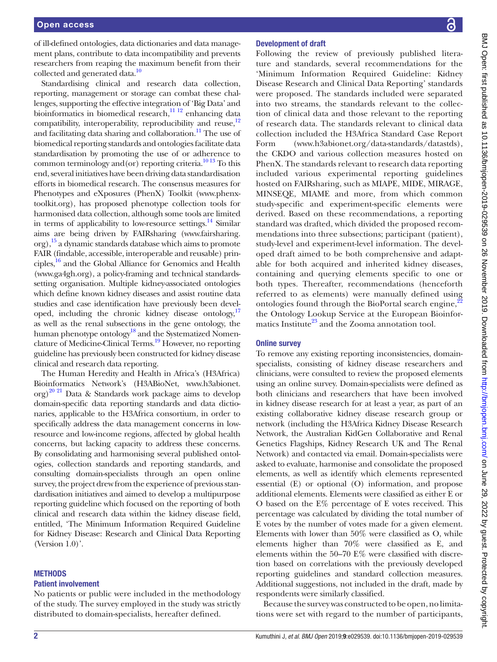of ill-defined ontologies, data dictionaries and data management plans, contribute to data incompatibility and prevents researchers from reaping the maximum benefit from their collected and generated data.<sup>10</sup>

Standardising clinical and research data collection, reporting, management or storage can combat these challenges, supporting the effective integration of 'Big Data' and bioinformatics in biomedical research, $\frac{11}{12}$  enhancing data compatibility, interoperability, reproducibility and reuse, $12$ and facilitating data sharing and collaboration. $11$  The use of biomedical reporting standards and ontologies facilitate data standardisation by promoting the use of or adherence to common terminology and (or) reporting criteria. $10^{13}$  To this end, several initiatives have been driving data standardisation efforts in biomedical research. The consensus measures for Phenotypes and eXposures (PhenX) Toolkit [\(www.phenx](www.phenxtoolkit.org)[toolkit.org\)](www.phenxtoolkit.org), has proposed phenotype collection tools for harmonised data collection, although some tools are limited in terms of applicability to low-resource settings.<sup>14</sup> Similar aims are being driven by FAIRsharing ([www.fairsharing.](www.fairsharing.org)  $\log$ ),  $\frac{15}{3}$  a dynamic standards database which aims to promote FAIR (findable, accessible, interoperable and reusable) prin $ciphers$ ,<sup>16</sup> and the Global Alliance for Genomics and Health ([www.ga4gh.org\)](www.ga4gh.org), a policy-framing and technical standardssetting organisation. Multiple kidney-associated ontologies which define known kidney diseases and assist routine data studies and case identification have previously been developed, including the chronic kidney disease ontology, $17$ as well as the renal subsections in the gene ontology, the human phenotype ontology<sup>18</sup> and the Systematized Nomenclature of Medicine-Clinical Terms[.19](#page-8-15) However, no reporting guideline has previously been constructed for kidney disease clinical and research data reporting.

The Human Heredity and Health in Africa's (H3Africa) Bioinformatics Network's (H3ABioNet, [www.h3abionet.](www.h3abionet.org) [org\)](www.h3abionet.org)[20 21](#page-8-16) Data & Standards work package aims to develop domain-specific data reporting standards and data dictionaries, applicable to the H3Africa consortium, in order to specifically address the data management concerns in lowresource and low-income regions, affected by global health concerns, but lacking capacity to address these concerns. By consolidating and harmonising several published ontologies, collection standards and reporting standards, and consulting domain-specialists through an open online survey, the project drew from the experience of previous standardisation initiatives and aimed to develop a multipurpose reporting guideline which focused on the reporting of both clinical and research data within the kidney disease field, entitled, 'The Minimum Information Required Guideline for Kidney Disease: Research and Clinical Data Reporting (Version 1.0)'.

#### **METHODS**

### Patient involvement

No patients or public were included in the methodology of the study. The survey employed in the study was strictly distributed to domain-specialists, hereafter defined.

#### Development of draft

Following the review of previously published literature and standards, several recommendations for the 'Minimum Information Required Guideline: Kidney Disease Research and Clinical Data Reporting' standards were proposed. The standards included were separated into two streams, the standards relevant to the collection of clinical data and those relevant to the reporting of research data. The standards relevant to clinical data collection included the H3Africa Standard Case Report Form ([www.h3abionet.org/data-standards/datastds\)](www.h3abionet.org/data-standards/datastds), the CKDO and various collection measures hosted on PhenX. The standards relevant to research data reporting included various experimental reporting guidelines hosted on FAIRsharing, such as MIAPE, MIDE, MIRAGE, MINSEQE, MIAME and more, from which common study-specific and experiment-specific elements were derived. Based on these recommendations, a reporting standard was drafted, which divided the proposed recommendations into three subsections; participant (patient), study-level and experiment-level information. The developed draft aimed to be both comprehensive and adaptable for both acquired and inherited kidney diseases, containing and querying elements specific to one or both types. Thereafter, recommendations (henceforth referred to as elements) were manually defined using ontologies found through the BioPortal search engine, $\frac{2}{3}$ the Ontology Lookup Service at the European Bioinformatics Institute $^{23}$  $^{23}$  $^{23}$  and the Zooma annotation tool.

# Online survey

To remove any existing reporting inconsistencies, domainspecialists, consisting of kidney disease researchers and clinicians, were consulted to review the proposed elements using an online survey. Domain-specialists were defined as both clinicians and researchers that have been involved in kidney disease research for at least a year, as part of an existing collaborative kidney disease research group or network (including the H3Africa Kidney Disease Research Network, the Australian KidGen Collaborative and Renal Genetics Flagships, Kidney Research UK and The Renal Network) and contacted via email. Domain-specialists were asked to evaluate, harmonise and consolidate the proposed elements, as well as identify which elements represented essential (E) or optional (O) information, and propose additional elements. Elements were classified as either E or O based on the E% percentage of E votes received. This percentage was calculated by dividing the total number of E votes by the number of votes made for a given element. Elements with lower than 50% were classified as O, while elements higher than 70% were classified as E, and elements within the 50–70 E% were classified with discretion based on correlations with the previously developed reporting guidelines and standard collection measures. Additional suggestions, not included in the draft, made by respondents were similarly classified.

Because the survey was constructed to be open, no limitations were set with regard to the number of participants,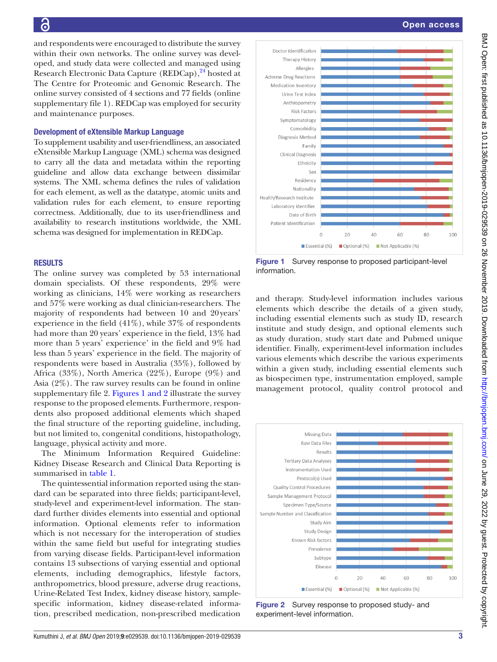and respondents were encouraged to distribute the survey within their own networks. The online survey was developed, and study data were collected and managed using Research Electronic Data Capture (REDCap), $^{24}$  hosted at The Centre for Proteomic and Genomic Research. The online survey consisted of 4 sections and 77 fields [\(online](https://dx.doi.org/10.1136/bmjopen-2019-029539) [supplementary file 1\)](https://dx.doi.org/10.1136/bmjopen-2019-029539). REDCap was employed for security and maintenance purposes.

## Development of eXtensible Markup Language

To supplement usability and user-friendliness, an associated eXtensible Markup Language (XML) schema was designed to carry all the data and metadata within the reporting guideline and allow data exchange between dissimilar systems. The XML schema defines the rules of validation for each element, as well as the datatype, atomic units and validation rules for each element, to ensure reporting correctness. Additionally, due to its user-friendliness and availability to research institutions worldwide, the XML schema was designed for implementation in REDCap.

# **RESULTS**

The online survey was completed by 53 international domain specialists. Of these respondents, 29% were working as clinicians, 14% were working as researchers and 57% were working as dual clinician-researchers. The majority of respondents had between 10 and 20years' experience in the field (41%), while 37% of respondents had more than 20 years' experience in the field, 13% had more than 5 years' experience' in the field and 9% had less than 5 years' experience in the field. The majority of respondents were based in Australia (35%), followed by Africa (33%), North America (22%), Europe (9%) and Asia (2%). The raw survey results can be found in [online](https://dx.doi.org/10.1136/bmjopen-2019-029539) [supplementary file 2.](https://dx.doi.org/10.1136/bmjopen-2019-029539) Figures [1 and 2](#page-2-0) illustrate the survey response to the proposed elements. Furthermore, respondents also proposed additional elements which shaped the final structure of the reporting guideline, including, but not limited to, congenital conditions, histopathology, language, physical activity and more.

The Minimum Information Required Guideline: Kidney Disease Research and Clinical Data Reporting is summarised in [table](#page-3-0) 1.

The quintessential information reported using the standard can be separated into three fields; participant-level, study-level and experiment-level information. The standard further divides elements into essential and optional information. Optional elements refer to information which is not necessary for the interoperation of studies within the same field but useful for integrating studies from varying disease fields. Participant-level information contains 13 subsections of varying essential and optional elements, including demographics, lifestyle factors, anthropometrics, blood pressure, adverse drug reactions, Urine-Related Test Index, kidney disease history, samplespecific information, kidney disease-related information, prescribed medication, non-prescribed medication



<span id="page-2-0"></span>Figure 1 Survey response to proposed participant-level **information** 

and therapy. Study-level information includes various elements which describe the details of a given study, including essential elements such as study ID, research institute and study design, and optional elements such as study duration, study start date and Pubmed unique identifier. Finally, experiment-level information includes various elements which describe the various experiments within a given study, including essential elements such as biospecimen type, instrumentation employed, sample management protocol, quality control protocol and



Figure 2 Survey response to proposed study- and experiment-level information.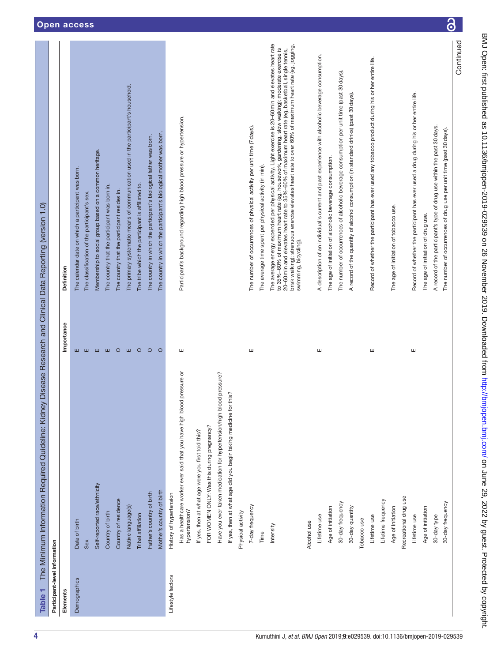෬

<span id="page-3-0"></span>

| The average energy expended per physical activity. Light exercise is 20-60 min and elevates heart rate<br>brisk walking); strenuous exercise elevates heart rate to over 60% of maximum heart rate (eg. jogging,<br>to 35%-60% of maximum heart rate (eg, housework, gardening, slow walking); moderate exercise is<br>20–60 min and elevates heart rate to 35%-60% of maximum heart rate (eg, basketball, single tennis,<br>A description of an individual's current and past experience with alcoholic beverage consumption.<br>Record of whether the participant has ever used any tobacco product during his or her entire life.<br>The number of occurrences of alcoholic beverage consumption per unit time (past 30 days).<br>The primary systematic means of communication used in the participant's household.<br>Record of whether the participant has ever used a drug during his or her entire life.<br>A record of the quantity of alcohol consumption (in standard drinks) (past 30 days)<br>Participant's background regarding high blood pressure or hypertension.<br>A record of the participant's type of drug use within the past 30 days.<br>The number of occurrences of physical activity per unit time (7 days).<br>The number of occurrences of drug use per unit time (past 30 days).<br>The country in which the participant's biological mother was born.<br>The country in which the participant's biological father was born.<br>Membership to social group based on a common heritage.<br>The age of initiation of alcoholic beverage consumption.<br>The average time spent per physical activity (in min).<br>The calendar date on which a participant was born.<br>The tribe which the participant is affiliated to.<br>The country that the participant was born in.<br>The country that the participant resides in.<br>The classification of the participant's sex<br>The age of initiation of tobacco use.<br>The age of initiation of drug use.<br>swimming, bicycling).<br>Definition<br>Importance<br>$\circ$<br>$\circ$<br>$\sqcup$<br>$\sqcup$<br>ш<br>$\circ$<br>$\circ$<br>ш<br>ш<br>Ш<br>ய<br>ш<br>ш<br>ш<br>lood pressure or<br>blood pressure?<br>for this?<br>Has a healthcare worker ever said that you have high b<br>If yes, then at what age did you begin taking medicine<br>Have you ever taken medication for hypertension/high<br>FOR WOMEN ONLY: Was this during pregnancy?<br>If yes, then at what age were you first told this?<br>Self-reported race/ethnicity<br>Mother's country of birth<br>Father's country of birth<br>History of hypertension<br>Recreational drug use<br>Country of residence<br>Lifetime frequency<br>30-day frequency<br>30-day frequency<br>7-day frequency<br>Native language(s)<br>Age of Initiation<br>Age of initiation<br>Age of initiation<br>30-day quantity<br>hypertension?<br>Physical activity<br>Country of birth<br>Tribal affiliation<br>Lifetime use<br>Lifetime use<br>Lifetime use<br>30-day type<br>Tobacco use<br>Date of birth<br>Alcohol use<br>Intensity<br>Time<br>Sex<br>Lifestyle factors<br>Demographics<br>Elements | Participant-level information<br>Table 1 | The Minimum Information Required Quideline: Kidney Disease Research and Clinical Data Reporting (version 1.0) |  |
|-------------------------------------------------------------------------------------------------------------------------------------------------------------------------------------------------------------------------------------------------------------------------------------------------------------------------------------------------------------------------------------------------------------------------------------------------------------------------------------------------------------------------------------------------------------------------------------------------------------------------------------------------------------------------------------------------------------------------------------------------------------------------------------------------------------------------------------------------------------------------------------------------------------------------------------------------------------------------------------------------------------------------------------------------------------------------------------------------------------------------------------------------------------------------------------------------------------------------------------------------------------------------------------------------------------------------------------------------------------------------------------------------------------------------------------------------------------------------------------------------------------------------------------------------------------------------------------------------------------------------------------------------------------------------------------------------------------------------------------------------------------------------------------------------------------------------------------------------------------------------------------------------------------------------------------------------------------------------------------------------------------------------------------------------------------------------------------------------------------------------------------------------------------------------------------------------------------------------------------------------------------------------------------------------------------------------------------------------------------------------------------------------------------------------------------------------------------------------------------------------------------------------------------------------------------------------------------------------------------------------------------------------------------------------------------------------------------------------------------------------------------------------------------------------------------------------------------------------------------------------------------------------------------------------------------------------------------------------------------------------------------------------------------------------------------------------------------------------------------------------------------|------------------------------------------|---------------------------------------------------------------------------------------------------------------|--|
|                                                                                                                                                                                                                                                                                                                                                                                                                                                                                                                                                                                                                                                                                                                                                                                                                                                                                                                                                                                                                                                                                                                                                                                                                                                                                                                                                                                                                                                                                                                                                                                                                                                                                                                                                                                                                                                                                                                                                                                                                                                                                                                                                                                                                                                                                                                                                                                                                                                                                                                                                                                                                                                                                                                                                                                                                                                                                                                                                                                                                                                                                                                                     |                                          |                                                                                                               |  |
|                                                                                                                                                                                                                                                                                                                                                                                                                                                                                                                                                                                                                                                                                                                                                                                                                                                                                                                                                                                                                                                                                                                                                                                                                                                                                                                                                                                                                                                                                                                                                                                                                                                                                                                                                                                                                                                                                                                                                                                                                                                                                                                                                                                                                                                                                                                                                                                                                                                                                                                                                                                                                                                                                                                                                                                                                                                                                                                                                                                                                                                                                                                                     |                                          |                                                                                                               |  |
|                                                                                                                                                                                                                                                                                                                                                                                                                                                                                                                                                                                                                                                                                                                                                                                                                                                                                                                                                                                                                                                                                                                                                                                                                                                                                                                                                                                                                                                                                                                                                                                                                                                                                                                                                                                                                                                                                                                                                                                                                                                                                                                                                                                                                                                                                                                                                                                                                                                                                                                                                                                                                                                                                                                                                                                                                                                                                                                                                                                                                                                                                                                                     |                                          |                                                                                                               |  |
|                                                                                                                                                                                                                                                                                                                                                                                                                                                                                                                                                                                                                                                                                                                                                                                                                                                                                                                                                                                                                                                                                                                                                                                                                                                                                                                                                                                                                                                                                                                                                                                                                                                                                                                                                                                                                                                                                                                                                                                                                                                                                                                                                                                                                                                                                                                                                                                                                                                                                                                                                                                                                                                                                                                                                                                                                                                                                                                                                                                                                                                                                                                                     |                                          |                                                                                                               |  |
|                                                                                                                                                                                                                                                                                                                                                                                                                                                                                                                                                                                                                                                                                                                                                                                                                                                                                                                                                                                                                                                                                                                                                                                                                                                                                                                                                                                                                                                                                                                                                                                                                                                                                                                                                                                                                                                                                                                                                                                                                                                                                                                                                                                                                                                                                                                                                                                                                                                                                                                                                                                                                                                                                                                                                                                                                                                                                                                                                                                                                                                                                                                                     |                                          |                                                                                                               |  |
|                                                                                                                                                                                                                                                                                                                                                                                                                                                                                                                                                                                                                                                                                                                                                                                                                                                                                                                                                                                                                                                                                                                                                                                                                                                                                                                                                                                                                                                                                                                                                                                                                                                                                                                                                                                                                                                                                                                                                                                                                                                                                                                                                                                                                                                                                                                                                                                                                                                                                                                                                                                                                                                                                                                                                                                                                                                                                                                                                                                                                                                                                                                                     |                                          |                                                                                                               |  |
|                                                                                                                                                                                                                                                                                                                                                                                                                                                                                                                                                                                                                                                                                                                                                                                                                                                                                                                                                                                                                                                                                                                                                                                                                                                                                                                                                                                                                                                                                                                                                                                                                                                                                                                                                                                                                                                                                                                                                                                                                                                                                                                                                                                                                                                                                                                                                                                                                                                                                                                                                                                                                                                                                                                                                                                                                                                                                                                                                                                                                                                                                                                                     |                                          |                                                                                                               |  |
|                                                                                                                                                                                                                                                                                                                                                                                                                                                                                                                                                                                                                                                                                                                                                                                                                                                                                                                                                                                                                                                                                                                                                                                                                                                                                                                                                                                                                                                                                                                                                                                                                                                                                                                                                                                                                                                                                                                                                                                                                                                                                                                                                                                                                                                                                                                                                                                                                                                                                                                                                                                                                                                                                                                                                                                                                                                                                                                                                                                                                                                                                                                                     |                                          |                                                                                                               |  |
|                                                                                                                                                                                                                                                                                                                                                                                                                                                                                                                                                                                                                                                                                                                                                                                                                                                                                                                                                                                                                                                                                                                                                                                                                                                                                                                                                                                                                                                                                                                                                                                                                                                                                                                                                                                                                                                                                                                                                                                                                                                                                                                                                                                                                                                                                                                                                                                                                                                                                                                                                                                                                                                                                                                                                                                                                                                                                                                                                                                                                                                                                                                                     |                                          |                                                                                                               |  |
|                                                                                                                                                                                                                                                                                                                                                                                                                                                                                                                                                                                                                                                                                                                                                                                                                                                                                                                                                                                                                                                                                                                                                                                                                                                                                                                                                                                                                                                                                                                                                                                                                                                                                                                                                                                                                                                                                                                                                                                                                                                                                                                                                                                                                                                                                                                                                                                                                                                                                                                                                                                                                                                                                                                                                                                                                                                                                                                                                                                                                                                                                                                                     |                                          |                                                                                                               |  |
|                                                                                                                                                                                                                                                                                                                                                                                                                                                                                                                                                                                                                                                                                                                                                                                                                                                                                                                                                                                                                                                                                                                                                                                                                                                                                                                                                                                                                                                                                                                                                                                                                                                                                                                                                                                                                                                                                                                                                                                                                                                                                                                                                                                                                                                                                                                                                                                                                                                                                                                                                                                                                                                                                                                                                                                                                                                                                                                                                                                                                                                                                                                                     |                                          |                                                                                                               |  |
|                                                                                                                                                                                                                                                                                                                                                                                                                                                                                                                                                                                                                                                                                                                                                                                                                                                                                                                                                                                                                                                                                                                                                                                                                                                                                                                                                                                                                                                                                                                                                                                                                                                                                                                                                                                                                                                                                                                                                                                                                                                                                                                                                                                                                                                                                                                                                                                                                                                                                                                                                                                                                                                                                                                                                                                                                                                                                                                                                                                                                                                                                                                                     |                                          |                                                                                                               |  |
|                                                                                                                                                                                                                                                                                                                                                                                                                                                                                                                                                                                                                                                                                                                                                                                                                                                                                                                                                                                                                                                                                                                                                                                                                                                                                                                                                                                                                                                                                                                                                                                                                                                                                                                                                                                                                                                                                                                                                                                                                                                                                                                                                                                                                                                                                                                                                                                                                                                                                                                                                                                                                                                                                                                                                                                                                                                                                                                                                                                                                                                                                                                                     |                                          |                                                                                                               |  |
|                                                                                                                                                                                                                                                                                                                                                                                                                                                                                                                                                                                                                                                                                                                                                                                                                                                                                                                                                                                                                                                                                                                                                                                                                                                                                                                                                                                                                                                                                                                                                                                                                                                                                                                                                                                                                                                                                                                                                                                                                                                                                                                                                                                                                                                                                                                                                                                                                                                                                                                                                                                                                                                                                                                                                                                                                                                                                                                                                                                                                                                                                                                                     |                                          |                                                                                                               |  |
|                                                                                                                                                                                                                                                                                                                                                                                                                                                                                                                                                                                                                                                                                                                                                                                                                                                                                                                                                                                                                                                                                                                                                                                                                                                                                                                                                                                                                                                                                                                                                                                                                                                                                                                                                                                                                                                                                                                                                                                                                                                                                                                                                                                                                                                                                                                                                                                                                                                                                                                                                                                                                                                                                                                                                                                                                                                                                                                                                                                                                                                                                                                                     |                                          |                                                                                                               |  |
|                                                                                                                                                                                                                                                                                                                                                                                                                                                                                                                                                                                                                                                                                                                                                                                                                                                                                                                                                                                                                                                                                                                                                                                                                                                                                                                                                                                                                                                                                                                                                                                                                                                                                                                                                                                                                                                                                                                                                                                                                                                                                                                                                                                                                                                                                                                                                                                                                                                                                                                                                                                                                                                                                                                                                                                                                                                                                                                                                                                                                                                                                                                                     |                                          |                                                                                                               |  |
|                                                                                                                                                                                                                                                                                                                                                                                                                                                                                                                                                                                                                                                                                                                                                                                                                                                                                                                                                                                                                                                                                                                                                                                                                                                                                                                                                                                                                                                                                                                                                                                                                                                                                                                                                                                                                                                                                                                                                                                                                                                                                                                                                                                                                                                                                                                                                                                                                                                                                                                                                                                                                                                                                                                                                                                                                                                                                                                                                                                                                                                                                                                                     |                                          |                                                                                                               |  |
|                                                                                                                                                                                                                                                                                                                                                                                                                                                                                                                                                                                                                                                                                                                                                                                                                                                                                                                                                                                                                                                                                                                                                                                                                                                                                                                                                                                                                                                                                                                                                                                                                                                                                                                                                                                                                                                                                                                                                                                                                                                                                                                                                                                                                                                                                                                                                                                                                                                                                                                                                                                                                                                                                                                                                                                                                                                                                                                                                                                                                                                                                                                                     |                                          |                                                                                                               |  |
|                                                                                                                                                                                                                                                                                                                                                                                                                                                                                                                                                                                                                                                                                                                                                                                                                                                                                                                                                                                                                                                                                                                                                                                                                                                                                                                                                                                                                                                                                                                                                                                                                                                                                                                                                                                                                                                                                                                                                                                                                                                                                                                                                                                                                                                                                                                                                                                                                                                                                                                                                                                                                                                                                                                                                                                                                                                                                                                                                                                                                                                                                                                                     |                                          |                                                                                                               |  |
|                                                                                                                                                                                                                                                                                                                                                                                                                                                                                                                                                                                                                                                                                                                                                                                                                                                                                                                                                                                                                                                                                                                                                                                                                                                                                                                                                                                                                                                                                                                                                                                                                                                                                                                                                                                                                                                                                                                                                                                                                                                                                                                                                                                                                                                                                                                                                                                                                                                                                                                                                                                                                                                                                                                                                                                                                                                                                                                                                                                                                                                                                                                                     |                                          |                                                                                                               |  |
|                                                                                                                                                                                                                                                                                                                                                                                                                                                                                                                                                                                                                                                                                                                                                                                                                                                                                                                                                                                                                                                                                                                                                                                                                                                                                                                                                                                                                                                                                                                                                                                                                                                                                                                                                                                                                                                                                                                                                                                                                                                                                                                                                                                                                                                                                                                                                                                                                                                                                                                                                                                                                                                                                                                                                                                                                                                                                                                                                                                                                                                                                                                                     |                                          |                                                                                                               |  |
|                                                                                                                                                                                                                                                                                                                                                                                                                                                                                                                                                                                                                                                                                                                                                                                                                                                                                                                                                                                                                                                                                                                                                                                                                                                                                                                                                                                                                                                                                                                                                                                                                                                                                                                                                                                                                                                                                                                                                                                                                                                                                                                                                                                                                                                                                                                                                                                                                                                                                                                                                                                                                                                                                                                                                                                                                                                                                                                                                                                                                                                                                                                                     |                                          |                                                                                                               |  |
|                                                                                                                                                                                                                                                                                                                                                                                                                                                                                                                                                                                                                                                                                                                                                                                                                                                                                                                                                                                                                                                                                                                                                                                                                                                                                                                                                                                                                                                                                                                                                                                                                                                                                                                                                                                                                                                                                                                                                                                                                                                                                                                                                                                                                                                                                                                                                                                                                                                                                                                                                                                                                                                                                                                                                                                                                                                                                                                                                                                                                                                                                                                                     |                                          |                                                                                                               |  |
|                                                                                                                                                                                                                                                                                                                                                                                                                                                                                                                                                                                                                                                                                                                                                                                                                                                                                                                                                                                                                                                                                                                                                                                                                                                                                                                                                                                                                                                                                                                                                                                                                                                                                                                                                                                                                                                                                                                                                                                                                                                                                                                                                                                                                                                                                                                                                                                                                                                                                                                                                                                                                                                                                                                                                                                                                                                                                                                                                                                                                                                                                                                                     |                                          |                                                                                                               |  |
|                                                                                                                                                                                                                                                                                                                                                                                                                                                                                                                                                                                                                                                                                                                                                                                                                                                                                                                                                                                                                                                                                                                                                                                                                                                                                                                                                                                                                                                                                                                                                                                                                                                                                                                                                                                                                                                                                                                                                                                                                                                                                                                                                                                                                                                                                                                                                                                                                                                                                                                                                                                                                                                                                                                                                                                                                                                                                                                                                                                                                                                                                                                                     |                                          |                                                                                                               |  |
|                                                                                                                                                                                                                                                                                                                                                                                                                                                                                                                                                                                                                                                                                                                                                                                                                                                                                                                                                                                                                                                                                                                                                                                                                                                                                                                                                                                                                                                                                                                                                                                                                                                                                                                                                                                                                                                                                                                                                                                                                                                                                                                                                                                                                                                                                                                                                                                                                                                                                                                                                                                                                                                                                                                                                                                                                                                                                                                                                                                                                                                                                                                                     |                                          |                                                                                                               |  |
|                                                                                                                                                                                                                                                                                                                                                                                                                                                                                                                                                                                                                                                                                                                                                                                                                                                                                                                                                                                                                                                                                                                                                                                                                                                                                                                                                                                                                                                                                                                                                                                                                                                                                                                                                                                                                                                                                                                                                                                                                                                                                                                                                                                                                                                                                                                                                                                                                                                                                                                                                                                                                                                                                                                                                                                                                                                                                                                                                                                                                                                                                                                                     |                                          |                                                                                                               |  |
|                                                                                                                                                                                                                                                                                                                                                                                                                                                                                                                                                                                                                                                                                                                                                                                                                                                                                                                                                                                                                                                                                                                                                                                                                                                                                                                                                                                                                                                                                                                                                                                                                                                                                                                                                                                                                                                                                                                                                                                                                                                                                                                                                                                                                                                                                                                                                                                                                                                                                                                                                                                                                                                                                                                                                                                                                                                                                                                                                                                                                                                                                                                                     |                                          |                                                                                                               |  |
|                                                                                                                                                                                                                                                                                                                                                                                                                                                                                                                                                                                                                                                                                                                                                                                                                                                                                                                                                                                                                                                                                                                                                                                                                                                                                                                                                                                                                                                                                                                                                                                                                                                                                                                                                                                                                                                                                                                                                                                                                                                                                                                                                                                                                                                                                                                                                                                                                                                                                                                                                                                                                                                                                                                                                                                                                                                                                                                                                                                                                                                                                                                                     |                                          |                                                                                                               |  |
|                                                                                                                                                                                                                                                                                                                                                                                                                                                                                                                                                                                                                                                                                                                                                                                                                                                                                                                                                                                                                                                                                                                                                                                                                                                                                                                                                                                                                                                                                                                                                                                                                                                                                                                                                                                                                                                                                                                                                                                                                                                                                                                                                                                                                                                                                                                                                                                                                                                                                                                                                                                                                                                                                                                                                                                                                                                                                                                                                                                                                                                                                                                                     |                                          |                                                                                                               |  |
|                                                                                                                                                                                                                                                                                                                                                                                                                                                                                                                                                                                                                                                                                                                                                                                                                                                                                                                                                                                                                                                                                                                                                                                                                                                                                                                                                                                                                                                                                                                                                                                                                                                                                                                                                                                                                                                                                                                                                                                                                                                                                                                                                                                                                                                                                                                                                                                                                                                                                                                                                                                                                                                                                                                                                                                                                                                                                                                                                                                                                                                                                                                                     |                                          |                                                                                                               |  |
|                                                                                                                                                                                                                                                                                                                                                                                                                                                                                                                                                                                                                                                                                                                                                                                                                                                                                                                                                                                                                                                                                                                                                                                                                                                                                                                                                                                                                                                                                                                                                                                                                                                                                                                                                                                                                                                                                                                                                                                                                                                                                                                                                                                                                                                                                                                                                                                                                                                                                                                                                                                                                                                                                                                                                                                                                                                                                                                                                                                                                                                                                                                                     |                                          |                                                                                                               |  |
|                                                                                                                                                                                                                                                                                                                                                                                                                                                                                                                                                                                                                                                                                                                                                                                                                                                                                                                                                                                                                                                                                                                                                                                                                                                                                                                                                                                                                                                                                                                                                                                                                                                                                                                                                                                                                                                                                                                                                                                                                                                                                                                                                                                                                                                                                                                                                                                                                                                                                                                                                                                                                                                                                                                                                                                                                                                                                                                                                                                                                                                                                                                                     |                                          |                                                                                                               |  |
|                                                                                                                                                                                                                                                                                                                                                                                                                                                                                                                                                                                                                                                                                                                                                                                                                                                                                                                                                                                                                                                                                                                                                                                                                                                                                                                                                                                                                                                                                                                                                                                                                                                                                                                                                                                                                                                                                                                                                                                                                                                                                                                                                                                                                                                                                                                                                                                                                                                                                                                                                                                                                                                                                                                                                                                                                                                                                                                                                                                                                                                                                                                                     |                                          |                                                                                                               |  |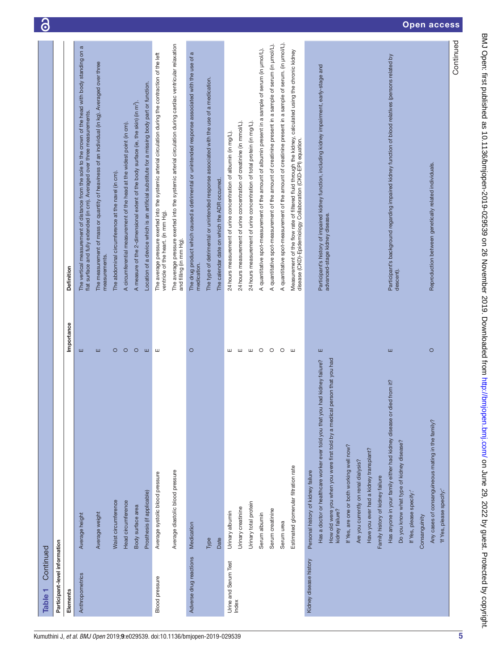| Continued<br>Table <sub>1</sub> |                                                                                                                                                                                  |            |                                                                                                                                                                                   |
|---------------------------------|----------------------------------------------------------------------------------------------------------------------------------------------------------------------------------|------------|-----------------------------------------------------------------------------------------------------------------------------------------------------------------------------------|
| Participant-level information   |                                                                                                                                                                                  |            |                                                                                                                                                                                   |
| Elements                        |                                                                                                                                                                                  | Importance | Definition                                                                                                                                                                        |
| Anthropometrics                 | Average height                                                                                                                                                                   | ш          | The vertical measurement of distance from the sole to the crown of the head with body standing on a<br>flat surface and fully extended (in cm). Averaged over three measurements. |
|                                 | Average weight                                                                                                                                                                   | ш          | The measurement of mass or quantity of heaviness of an individual (in kg). Averaged over three<br>measurements.                                                                   |
|                                 | Waist circumference                                                                                                                                                              | $\circ$    | The abdominal circumference at the navel (in cm).                                                                                                                                 |
|                                 | Head circumference                                                                                                                                                               | $\circ$    | A circumferential measurement of the head at the widest point (in cm).                                                                                                            |
|                                 | Body surface area                                                                                                                                                                | $\circ$    | A measure of the 2-dimensional extent of the body surface (ie, the skin) (in m <sup>2</sup> ).                                                                                    |
|                                 | Prosthesis (if applicable)                                                                                                                                                       | ш          | Location of a device which is an artificial substitute for a missing body part or function.                                                                                       |
| <b>Blood</b> pressure           | Average systolic blood pressure                                                                                                                                                  | Ш          | The average pressure exerted into the systemic arterial circulation during the contraction of the left<br>ventricle of the heart. (in mm Hg).                                     |
|                                 | Average diastolic blood pressure                                                                                                                                                 |            | The average pressure exerted into the systemic arterial circulation during cardiac ventricular relaxation<br>and filling (in mm Hg).                                              |
| Adverse drug reactions          | Medication                                                                                                                                                                       | $\circ$    | The drug product which caused a detrimental or unintended response associated with the use of a<br>medication.                                                                    |
|                                 | Type                                                                                                                                                                             |            | The type of detrimental or unintended response associated with the use of a medication.                                                                                           |
|                                 | Date                                                                                                                                                                             |            | The calendar date on which the ADR occurred.                                                                                                                                      |
| Urine and Serum Test<br>Index   | Urinary albumin                                                                                                                                                                  | ш          | 24 hours measurement of urine concentration of albumin (in mg/L).                                                                                                                 |
|                                 | Urinary creatinine                                                                                                                                                               | ш          | 24 hours measurement of urine concentration of creatinine (in mmol/L).                                                                                                            |
|                                 | Urinary total protein                                                                                                                                                            | ш          | 24 hours measurement of urine concentration of total protein (in mg/L).                                                                                                           |
|                                 | Serum albumin                                                                                                                                                                    | $\circ$    | A quantitative spot-measurement of the amount of albumin present in a sample of serum (in µmol/L).                                                                                |
|                                 | Serum creatinine                                                                                                                                                                 | $\circ$    | A quantitative spot-measurement of the amount of creatinine present in a sample of serum (in $\mu$ mol/L).                                                                        |
|                                 | Serum urea                                                                                                                                                                       | $\circ$    | A quantitative spot-measurement of the amount of creatinine present in a sample of serum. (in µmol/L).                                                                            |
|                                 | Estimated glomerular filtration rate                                                                                                                                             | Ш          | Measurement of the flow rate of filtered fluid through the kidney, calculated using the chronic kidney<br>disease (CKD)-Epidemiology Collaboration (CKD-EPI) equation.            |
| Kidney disease history          | Personal history of kidney failure                                                                                                                                               |            |                                                                                                                                                                                   |
|                                 | person that you had<br>Has a doctor or healthcare worker ever told you that you had kidney failure?<br>How old were you when you were first told by a medical<br>kidney failure? | Ш          | Participant's history of impaired kidney function, including kidney impairment, early-stage and<br>advanced-stage kidney disease.                                                 |
|                                 | If Yes, are one or both working well now?                                                                                                                                        |            |                                                                                                                                                                                   |
|                                 | Are you currently on renal dialysis?                                                                                                                                             |            |                                                                                                                                                                                   |
|                                 | Have you ever had a kidney transplant?                                                                                                                                           |            |                                                                                                                                                                                   |
|                                 | Family history of kidney failure                                                                                                                                                 |            |                                                                                                                                                                                   |
|                                 | Has anyone in your family either had kidney disease or died from it?                                                                                                             | ш          | Participant's background regarding impaired kidney function of blood relatives (persons related by<br>descent).                                                                   |
|                                 | Do you know what type of kidney disease?                                                                                                                                         |            |                                                                                                                                                                                   |
|                                 | If Yes, please specify:                                                                                                                                                          |            |                                                                                                                                                                                   |
|                                 | Consanguinity                                                                                                                                                                    |            |                                                                                                                                                                                   |
|                                 | Any cases of consanguineous mating in the family?                                                                                                                                | $\circ$    | Reproduction between genetically related individuals.                                                                                                                             |
|                                 | 'If Yes, please specify:'                                                                                                                                                        |            |                                                                                                                                                                                   |
|                                 |                                                                                                                                                                                  |            | Continued                                                                                                                                                                         |

ි

BMJ Open: first published as 10.1136/bmjopen-2019-029539 on 26 November 2019. Downloaded from http://bmjopen.bmj.com/ on June 29, 2022 by guest. Protected by copyright. BMJ Open: first published as 10.1136/bmjopen-2019-029539 on 26 November 2019. Downloaded from <http://bmjopen.bmj.com/> on June 29, 2022 by guest. Protected by copyright.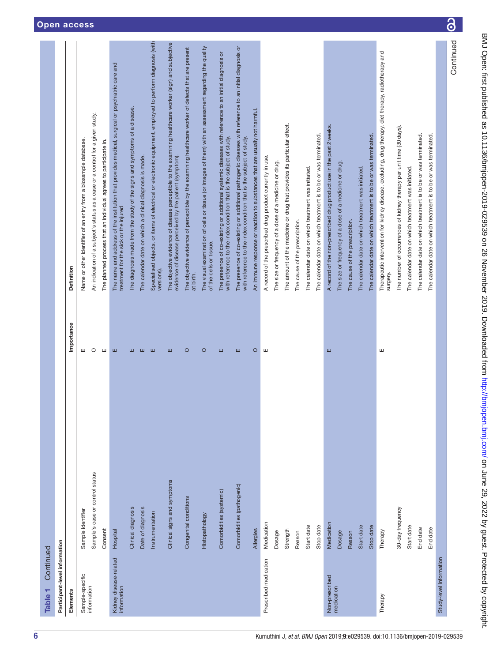| Continued<br>Table <sub>1</sub>       |                                 |            |                                                                                                                                                                                |            |
|---------------------------------------|---------------------------------|------------|--------------------------------------------------------------------------------------------------------------------------------------------------------------------------------|------------|
| Participant-level information         |                                 |            |                                                                                                                                                                                |            |
| Elements                              |                                 | Importance | Definition                                                                                                                                                                     |            |
| Sample-specific                       | Sample identifier               | ш          | Name or other identifier of an entry from a biosample database.                                                                                                                | pen access |
| information                           | Sample's case or control status | $\circ$    | An indication of a subject's status as a case or a control for a given study.                                                                                                  |            |
|                                       | Consent                         | ш          | The planned process that an individual agrees to participate in.                                                                                                               |            |
| Kidney disease-related<br>information | Hospital                        | ш          | The name and address of the institution that provides medical, surgical or psychiatric care and<br>treatment for the sick or the injured                                       |            |
|                                       | Clinical diagnosis              | ш          | The diagnosis made from the study of the signs and symptoms of a disease                                                                                                       |            |
|                                       | Date of diagnosis               | ш          | The calendar date on which a clinical diagnosis is made.                                                                                                                       |            |
|                                       | Instrumentation                 | ш          | Specialised objects, or items of electrical or electronic equipment, employed to perform diagnosis (with<br>versions).                                                         |            |
|                                       | Clinical signs and symptoms     | ш          | The objective evidence of disease perceptible to the examining healthcare worker (sign) and subjective<br>evidence of disease perceived by the patient (symptom).              |            |
|                                       | Congenital conditions           | $\circ$    | The objective evidence of perceptible by the examining healthcare worker of defects that are present<br>at birth.                                                              |            |
|                                       | Histopathology                  | $\circ$    | The visual examination of cells or tissue (or images of them) with an assessment regarding the quality<br>of the cells or tissue.                                              |            |
|                                       | Comorbidities (systemic)        | ш          | The presence of co-existing or additional systemic diseases with reference to an initial diagnosis or<br>with reference to the index condition that is the subject of study.   |            |
|                                       | Comorbidities (pathogenic)      | ш          | The presence of co-existing or additional pathogenic diseases with reference to an initial diagnosis or<br>with reference to the index condition that is the subject of study. |            |
|                                       | Allergies                       | $\circ$    | An immune response or reaction to substances that are usually not harmful.                                                                                                     |            |
| Prescribed medication                 | Medication                      | Щ          | A record of the prescribed drug product currently in use.                                                                                                                      |            |
|                                       | Dosage                          |            | The size or frequency of a dose of a medicine or drug.                                                                                                                         |            |
|                                       | Strength                        |            | The amount of the medicine or drug that provides its particular effect.                                                                                                        |            |
|                                       | Reason                          |            | The cause of the prescription.                                                                                                                                                 |            |
|                                       | Start date                      |            | The calendar date on which treatment was initiated.                                                                                                                            |            |
|                                       | Stop date                       |            | The calendar date on which treatment is to be or was terminated                                                                                                                |            |
| Non-prescribed                        | Medication                      | ш          | A record of the non-prescribed drug product use in the past 2 weeks.                                                                                                           |            |
| medication                            | Dosage                          |            | The size or frequency of a dose of a medicine or drug.                                                                                                                         |            |
|                                       | Reason                          |            | The cause of the prescription.                                                                                                                                                 |            |
|                                       | Start date                      |            | The calendar date on which treatment was initiated.                                                                                                                            |            |
|                                       | Stop date                       |            | The calendar date on which treatment is to be or was terminated.                                                                                                               |            |
| Therapy                               | Therapy                         | ш          | Therapeutic intervention for kidney disease, excluding, drug therapy, diet therapy, radiotherapy and<br>surgery.                                                               |            |
|                                       | 30-day frequency                |            | The number of occurrences of kidney therapy per unit time (30 days).                                                                                                           |            |
|                                       | Start date                      |            | The calendar date on which treatment was initiated.                                                                                                                            |            |
|                                       | End date                        |            | The calendar date on which treatment is to be or was terminated                                                                                                                |            |
|                                       | End date                        |            | The calendar date on which treatment is to be or was terminated.                                                                                                               |            |
| Study-level information               |                                 |            |                                                                                                                                                                                |            |
|                                       |                                 |            | Continued                                                                                                                                                                      | 6          |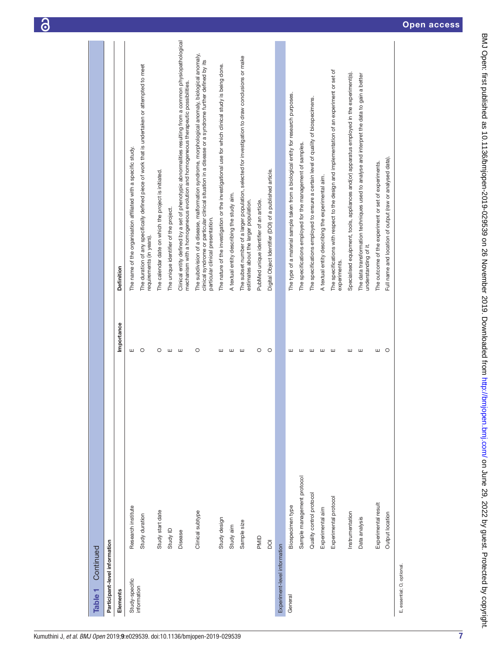| Continued<br>Table <sub>1</sub> |                            |            |                                                                                                                                                                                                                                              |
|---------------------------------|----------------------------|------------|----------------------------------------------------------------------------------------------------------------------------------------------------------------------------------------------------------------------------------------------|
| Participant-level information   |                            |            |                                                                                                                                                                                                                                              |
| Elements                        |                            | Importance | Definition                                                                                                                                                                                                                                   |
| Study-specific                  | Research institute         | ш          | The name of the organisation affiliated with a specific study.                                                                                                                                                                               |
| information                     | Study duration             | $\circ$    | The duration of any specifically defined piece of work that is undertaken or attempted to meet<br>requirements (in years)                                                                                                                    |
|                                 | Study start date           | O          | The calendar date on which the project is initiated.                                                                                                                                                                                         |
|                                 | Study ID                   | ш          | The unique identifier of the project.                                                                                                                                                                                                        |
|                                 | Disease                    | ш          | Clinical entity defined by a set of phenotypic abnormalities resulting from a common physiopathological<br>mechanism with a homogeneous evolution and homogeneous therapeutic possibilities                                                  |
|                                 | Clinical subtype           | O          | The subdivision of a disease, malformation syndrome, morphological anomaly, biological anomaly,<br>clinical syndrome or particular clinical situation in a disease or a syndrome further defined by its<br>particular clinical presentation. |
|                                 | Study design               | ш          | The nature of the investigation or the investigational use for which clinical study is being done.                                                                                                                                           |
|                                 | Study aim                  | ш          | A textual entity describing the study aim.                                                                                                                                                                                                   |
|                                 | Sample size                | ш          | The subset number of a larger population, selected for investigation to draw conclusions or make<br>estimates about the larger population.                                                                                                   |
|                                 | PMID                       | O          | PubMed unique identifier of an article.                                                                                                                                                                                                      |
|                                 | $\overline{Q}$             | $\circ$    | Digital Object Identifier (DOI) of a published article.                                                                                                                                                                                      |
| Experiment-level information    |                            |            |                                                                                                                                                                                                                                              |
| General                         | Biospecimen type           | ш          | The type of a material sample taken from a biological entity for research purposes.                                                                                                                                                          |
|                                 | Sample management protocol | ш          | The specifications employed for the management of samples.                                                                                                                                                                                   |
|                                 | Quality control protocol   | ш          | The specifications employed to ensure a certain level of quality of biospecimens.                                                                                                                                                            |
|                                 | Experimental aim           | Ш          | A textual entity describing the experimental aim.                                                                                                                                                                                            |
|                                 | Experimental protocol      | Ш          | The specifications with respect to the design and implementation of an experiment or set of<br>experiments.                                                                                                                                  |
|                                 | Instrumentation            | ш          | Specialised equipment, tools, appliances and(or) apparatus employed in the experiment(s)                                                                                                                                                     |
|                                 | Data analysis              | ш          | The data transformation techniques used to analyse and interpret the data to gain a better<br>understanding of it.                                                                                                                           |
|                                 | Experimental result        | ш          | The outcome of the experiment or set of experiments.                                                                                                                                                                                         |
|                                 | Output location            | $\circ$    | Full name and location of output (raw or analysed data)                                                                                                                                                                                      |
| E, essential; O, optional.      |                            |            |                                                                                                                                                                                                                                              |
|                                 |                            |            |                                                                                                                                                                                                                                              |

7

6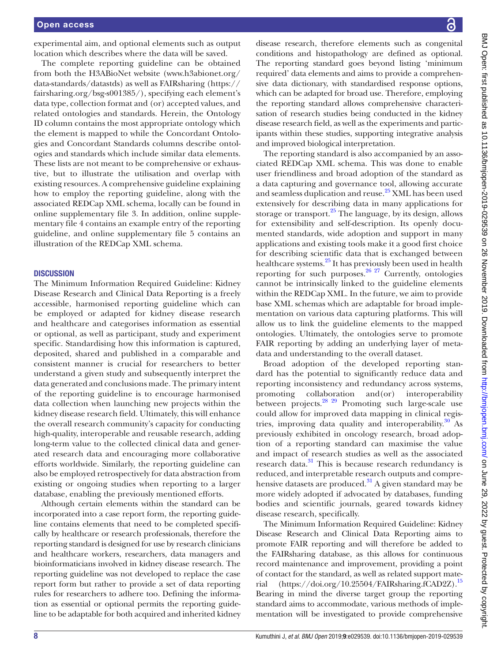experimental aim, and optional elements such as output location which describes where the data will be saved.

The complete reporting guideline can be obtained from both the H3ABioNet website ([www.h3abionet.org/](https://h3abionet.org/data-standards/datastds) [data-standards/datastds\)](https://h3abionet.org/data-standards/datastds) as well as FAIRsharing [\(https://](https://fairsharing.org/bsg-s001385/) [fairsharing.org/bsg-s001385/](https://fairsharing.org/bsg-s001385/)), specifying each element's data type, collection format and (or) accepted values, and related ontologies and standards. Herein, the Ontology ID column contains the most appropriate ontology which the element is mapped to while the Concordant Ontologies and Concordant Standards columns describe ontologies and standards which include similar data elements. These lists are not meant to be comprehensive or exhaustive, but to illustrate the utilisation and overlap with existing resources. A comprehensive guideline explaining how to employ the reporting guideline, along with the associated REDCap XML schema, locally can be found in [online supplementary file 3](https://dx.doi.org/10.1136/bmjopen-2019-029539). In addition, [online supple](https://dx.doi.org/10.1136/bmjopen-2019-029539)[mentary file 4](https://dx.doi.org/10.1136/bmjopen-2019-029539) contains an example entry of the reporting guideline, and [online supplementary file 5](https://dx.doi.org/10.1136/bmjopen-2019-029539) contains an illustration of the REDCap XML schema.

#### **DISCUSSION**

The Minimum Information Required Guideline: Kidney Disease Research and Clinical Data Reporting is a freely accessible, harmonised reporting guideline which can be employed or adapted for kidney disease research and healthcare and categorises information as essential or optional, as well as participant, study and experiment specific. Standardising how this information is captured, deposited, shared and published in a comparable and consistent manner is crucial for researchers to better understand a given study and subsequently interpret the data generated and conclusions made. The primary intent of the reporting guideline is to encourage harmonised data collection when launching new projects within the kidney disease research field. Ultimately, this will enhance the overall research community's capacity for conducting high-quality, interoperable and reusable research, adding long-term value to the collected clinical data and generated research data and encouraging more collaborative efforts worldwide. Similarly, the reporting guideline can also be employed retrospectively for data abstraction from existing or ongoing studies when reporting to a larger database, enabling the previously mentioned efforts.

Although certain elements within the standard can be incorporated into a case report form, the reporting guideline contains elements that need to be completed specifically by healthcare or research professionals, therefore the reporting standard is designed for use by research clinicians and healthcare workers, researchers, data managers and bioinformaticians involved in kidney disease research. The reporting guideline was not developed to replace the case report form but rather to provide a set of data reporting rules for researchers to adhere too. Defining the information as essential or optional permits the reporting guideline to be adaptable for both acquired and inherited kidney

disease research, therefore elements such as congenital conditions and histopathology are defined as optional. The reporting standard goes beyond listing 'minimum required' data elements and aims to provide a comprehensive data dictionary, with standardised response options, which can be adapted for broad use. Therefore, employing the reporting standard allows comprehensive characterisation of research studies being conducted in the kidney disease research field, as well as the experiments and participants within these studies, supporting integrative analysis and improved biological interpretation.

The reporting standard is also accompanied by an associated REDCap XML schema. This was done to enable user friendliness and broad adoption of the standard as a data capturing and governance tool, allowing accurate and seamless duplication and reuse[.25](#page-8-20) XML has been used extensively for describing data in many applications for storage or transport. $^{25}$  The language, by its design, allows for extensibility and self-description. Its openly documented standards, wide adoption and support in many applications and existing tools make it a good first choice for describing scientific data that is exchanged between healthcare systems.<sup>25</sup> It has previously been used in health reporting for such purposes.<sup>26 27</sup> Currently, ontologies cannot be intrinsically linked to the guideline elements within the REDCap XML. In the future, we aim to provide base XML schemas which are adaptable for broad implementation on various data capturing platforms. This will allow us to link the guideline elements to the mapped ontologies. Ultimately, the ontologies serve to promote FAIR reporting by adding an underlying layer of metadata and understanding to the overall dataset.

Broad adoption of the developed reporting standard has the potential to significantly reduce data and reporting inconsistency and redundancy across systems, promoting collaboration and(or) interoperability between projects.<sup>28</sup> <sup>29</sup> Promoting such large-scale use could allow for improved data mapping in clinical regis-tries, improving data quality and interoperability.<sup>[30](#page-8-23)</sup> As previously exhibited in oncology research, broad adoption of a reporting standard can maximise the value and impact of research studies as well as the associated research data.<sup>31</sup> This is because research redundancy is reduced, and interpretable research outputs and comprehensive datasets are produced. $31$  A given standard may be more widely adopted if advocated by databases, funding bodies and scientific journals, geared towards kidney disease research, specifically.

The Minimum Information Required Guideline: Kidney Disease Research and Clinical Data Reporting aims to promote FAIR reporting and will therefore be added to the FAIRsharing database, as this allows for continuous record maintenance and improvement, providing a point of contact for the standard, as well as related support material (<https://doi.org/10.25504/FAIRsharing.fCAD2Z>)[.15](#page-8-11) Bearing in mind the diverse target group the reporting standard aims to accommodate, various methods of implementation will be investigated to provide comprehensive